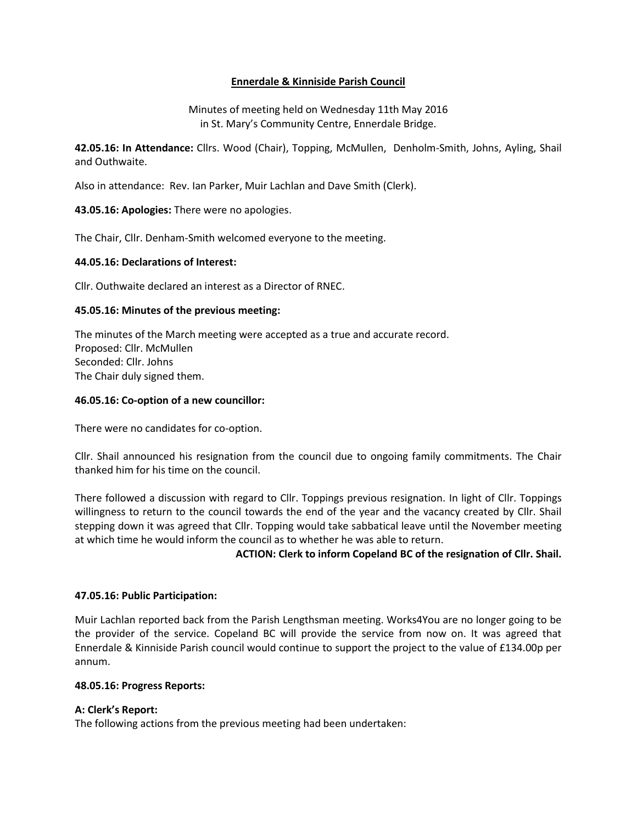# **Ennerdale & Kinniside Parish Council**

Minutes of meeting held on Wednesday 11th May 2016 in St. Mary's Community Centre, Ennerdale Bridge.

**42.05.16: In Attendance:** Cllrs. Wood (Chair), Topping, McMullen, Denholm-Smith, Johns, Ayling, Shail and Outhwaite.

Also in attendance: Rev. Ian Parker, Muir Lachlan and Dave Smith (Clerk).

**43.05.16: Apologies:** There were no apologies.

The Chair, Cllr. Denham-Smith welcomed everyone to the meeting.

## **44.05.16: Declarations of Interest:**

Cllr. Outhwaite declared an interest as a Director of RNEC.

## **45.05.16: Minutes of the previous meeting:**

The minutes of the March meeting were accepted as a true and accurate record. Proposed: Cllr. McMullen Seconded: Cllr. Johns The Chair duly signed them.

## **46.05.16: Co-option of a new councillor:**

There were no candidates for co-option.

Cllr. Shail announced his resignation from the council due to ongoing family commitments. The Chair thanked him for his time on the council.

There followed a discussion with regard to Cllr. Toppings previous resignation. In light of Cllr. Toppings willingness to return to the council towards the end of the year and the vacancy created by Cllr. Shail stepping down it was agreed that Cllr. Topping would take sabbatical leave until the November meeting at which time he would inform the council as to whether he was able to return.

**ACTION: Clerk to inform Copeland BC of the resignation of Cllr. Shail.**

### **47.05.16: Public Participation:**

Muir Lachlan reported back from the Parish Lengthsman meeting. Works4You are no longer going to be the provider of the service. Copeland BC will provide the service from now on. It was agreed that Ennerdale & Kinniside Parish council would continue to support the project to the value of £134.00p per annum.

### **48.05.16: Progress Reports:**

# **A: Clerk's Report:**

The following actions from the previous meeting had been undertaken: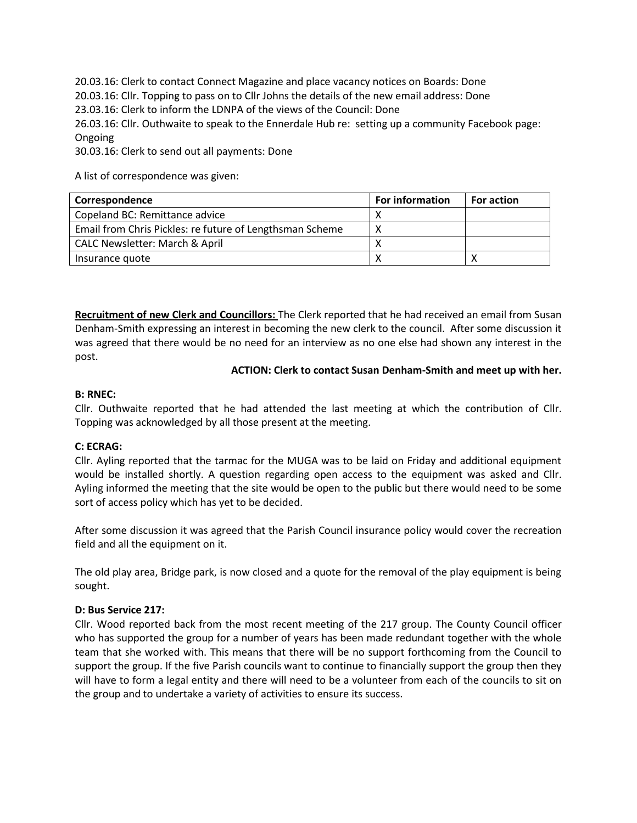20.03.16: Clerk to contact Connect Magazine and place vacancy notices on Boards: Done 20.03.16: Cllr. Topping to pass on to Cllr Johns the details of the new email address: Done 23.03.16: Clerk to inform the LDNPA of the views of the Council: Done 26.03.16: Cllr. Outhwaite to speak to the Ennerdale Hub re: setting up a community Facebook page: Ongoing 30.03.16: Clerk to send out all payments: Done

A list of correspondence was given:

| Correspondence                                           | <b>For information</b> | <b>For action</b> |
|----------------------------------------------------------|------------------------|-------------------|
| Copeland BC: Remittance advice                           |                        |                   |
| Email from Chris Pickles: re future of Lengthsman Scheme |                        |                   |
| <b>CALC Newsletter: March &amp; April</b>                |                        |                   |
| Insurance quote                                          |                        |                   |

**Recruitment of new Clerk and Councillors:** The Clerk reported that he had received an email from Susan Denham-Smith expressing an interest in becoming the new clerk to the council. After some discussion it was agreed that there would be no need for an interview as no one else had shown any interest in the post.

## **ACTION: Clerk to contact Susan Denham-Smith and meet up with her.**

## **B: RNEC:**

Cllr. Outhwaite reported that he had attended the last meeting at which the contribution of Cllr. Topping was acknowledged by all those present at the meeting.

# **C: ECRAG:**

Cllr. Ayling reported that the tarmac for the MUGA was to be laid on Friday and additional equipment would be installed shortly. A question regarding open access to the equipment was asked and Cllr. Ayling informed the meeting that the site would be open to the public but there would need to be some sort of access policy which has yet to be decided.

After some discussion it was agreed that the Parish Council insurance policy would cover the recreation field and all the equipment on it.

The old play area, Bridge park, is now closed and a quote for the removal of the play equipment is being sought.

# **D: Bus Service 217:**

Cllr. Wood reported back from the most recent meeting of the 217 group. The County Council officer who has supported the group for a number of years has been made redundant together with the whole team that she worked with. This means that there will be no support forthcoming from the Council to support the group. If the five Parish councils want to continue to financially support the group then they will have to form a legal entity and there will need to be a volunteer from each of the councils to sit on the group and to undertake a variety of activities to ensure its success.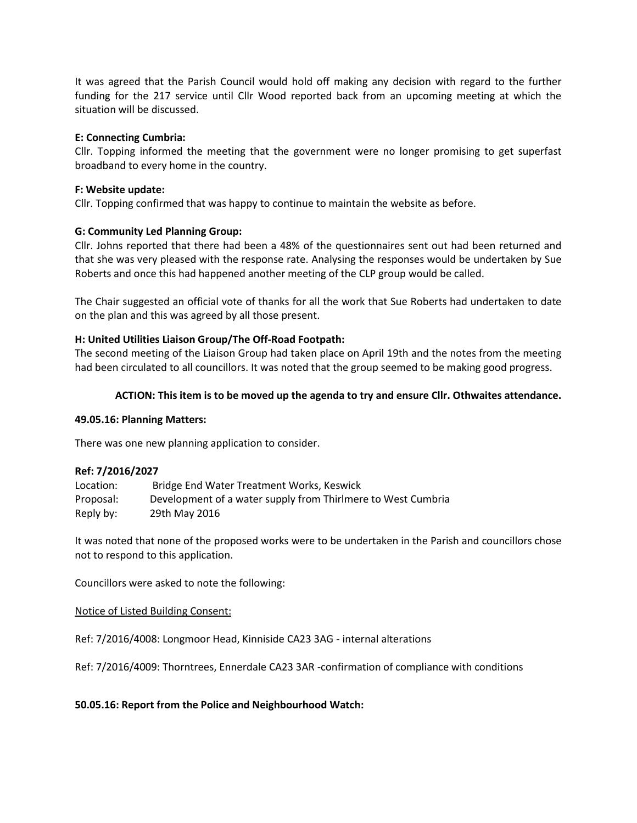It was agreed that the Parish Council would hold off making any decision with regard to the further funding for the 217 service until Cllr Wood reported back from an upcoming meeting at which the situation will be discussed.

## **E: Connecting Cumbria:**

Cllr. Topping informed the meeting that the government were no longer promising to get superfast broadband to every home in the country.

## **F: Website update:**

Cllr. Topping confirmed that was happy to continue to maintain the website as before.

## **G: Community Led Planning Group:**

Cllr. Johns reported that there had been a 48% of the questionnaires sent out had been returned and that she was very pleased with the response rate. Analysing the responses would be undertaken by Sue Roberts and once this had happened another meeting of the CLP group would be called.

The Chair suggested an official vote of thanks for all the work that Sue Roberts had undertaken to date on the plan and this was agreed by all those present.

## **H: United Utilities Liaison Group/The Off-Road Footpath:**

The second meeting of the Liaison Group had taken place on April 19th and the notes from the meeting had been circulated to all councillors. It was noted that the group seemed to be making good progress.

### **ACTION: This item is to be moved up the agenda to try and ensure Cllr. Othwaites attendance.**

### **49.05.16: Planning Matters:**

There was one new planning application to consider.

### **Ref: 7/2016/2027**

| Location: | Bridge End Water Treatment Works, Keswick                    |
|-----------|--------------------------------------------------------------|
| Proposal: | Development of a water supply from Thirlmere to West Cumbria |
| Reply by: | 29th May 2016                                                |

It was noted that none of the proposed works were to be undertaken in the Parish and councillors chose not to respond to this application.

Councillors were asked to note the following:

Notice of Listed Building Consent:

Ref: 7/2016/4008: Longmoor Head, Kinniside CA23 3AG - internal alterations

Ref: 7/2016/4009: Thorntrees, Ennerdale CA23 3AR -confirmation of compliance with conditions

### **50.05.16: Report from the Police and Neighbourhood Watch:**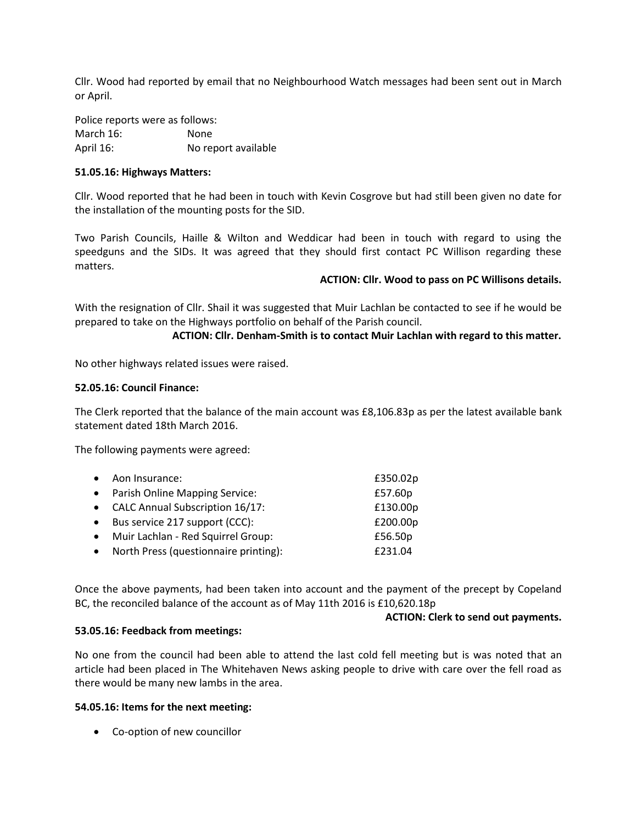Cllr. Wood had reported by email that no Neighbourhood Watch messages had been sent out in March or April.

Police reports were as follows: March 16: None April 16: No report available

### **51.05.16: Highways Matters:**

Cllr. Wood reported that he had been in touch with Kevin Cosgrove but had still been given no date for the installation of the mounting posts for the SID.

Two Parish Councils, Haille & Wilton and Weddicar had been in touch with regard to using the speedguns and the SIDs. It was agreed that they should first contact PC Willison regarding these matters.

### **ACTION: Cllr. Wood to pass on PC Willisons details.**

With the resignation of Cllr. Shail it was suggested that Muir Lachlan be contacted to see if he would be prepared to take on the Highways portfolio on behalf of the Parish council.

#### **ACTION: Cllr. Denham-Smith is to contact Muir Lachlan with regard to this matter.**

No other highways related issues were raised.

#### **52.05.16: Council Finance:**

The Clerk reported that the balance of the main account was £8,106.83p as per the latest available bank statement dated 18th March 2016.

The following payments were agreed:

| $\bullet$ | Aon Insurance:                        | £350.02p |
|-----------|---------------------------------------|----------|
|           | • Parish Online Mapping Service:      | £57.60p  |
|           | • CALC Annual Subscription 16/17:     | £130.00p |
| $\bullet$ | Bus service 217 support (CCC):        | £200.00p |
| $\bullet$ | Muir Lachlan - Red Squirrel Group:    | £56.50p  |
| $\bullet$ | North Press (questionnaire printing): | £231.04  |

Once the above payments, had been taken into account and the payment of the precept by Copeland BC, the reconciled balance of the account as of May 11th 2016 is £10,620.18p

#### **ACTION: Clerk to send out payments.**

#### **53.05.16: Feedback from meetings:**

No one from the council had been able to attend the last cold fell meeting but is was noted that an article had been placed in The Whitehaven News asking people to drive with care over the fell road as there would be many new lambs in the area.

#### **54.05.16: Items for the next meeting:**

Co-option of new councillor